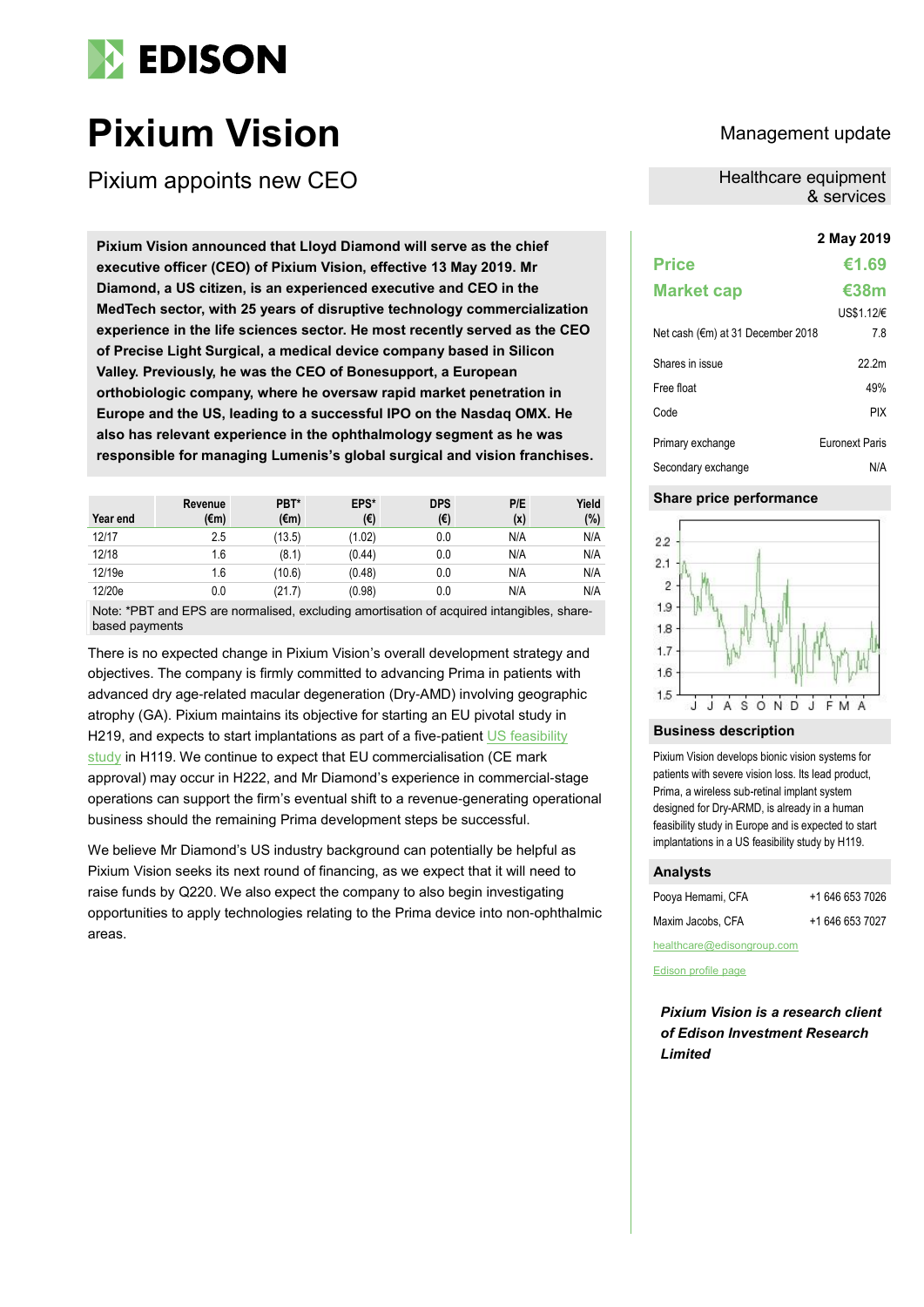

# **Pixium Vision** Management update

Pixium appoints new CEO

**2 May 2019 Pixium Vision announced that Lloyd Diamond will serve as the chief executive officer (CEO) of Pixium Vision, effective 13 May 2019. Mr Diamond, a US citizen, is an experienced executive and CEO in the MedTech sector, with 25 years of disruptive technology commercialization experience in the life sciences sector. He most recently served as the CEO of Precise Light Surgical, a medical device company based in Silicon Valley. Previously, he was the CEO of Bonesupport, a European orthobiologic company, where he oversaw rapid market penetration in Europe and the US, leading to a successful IPO on the Nasdaq OMX. He also has relevant experience in the ophthalmology segment as he was responsible for managing Lumenis's global surgical and vision franchises.**

| Year end | Revenue<br>(€m) | PBT*<br>(€m) | EPS*<br>(€) | <b>DPS</b><br>(€) | P/E<br>(x) | Yield<br>(%) |
|----------|-----------------|--------------|-------------|-------------------|------------|--------------|
| 12/17    | 2.5             | (13.5)       | (1.02)      | 0.0               | N/A        | N/A          |
| 12/18    | 1.6             | (8.1)        | (0.44)      | 0.0               | N/A        | N/A          |
| 12/19e   | 1.6             | (10.6)       | (0.48)      | 0.0               | N/A        | N/A          |
| 12/20e   | 0.0             | (21.7)       | (0.98)      | 0.0               | N/A        | N/A          |

Note: \*PBT and EPS are normalised, excluding amortisation of acquired intangibles, sharebased payments

There is no expected change in Pixium Vision's overall development strategy and objectives. The company is firmly committed to advancing Prima in patients with advanced dry age-related macular degeneration (Dry-AMD) involving geographic atrophy (GA). Pixium maintains its objective for starting an EU pivotal study in H219, and expects to start implantations as part of a five-patient US feasibility [study](https://clinicaltrials.gov/ct2/show/NCT03392324) in H119. We continue to expect that EU commercialisation (CE mark approval) may occur in H222, and Mr Diamond's experience in commercial-stage operations can support the firm's eventual shift to a revenue-generating operational business should the remaining Prima development steps be successful.

We believe Mr Diamond's US industry background can potentially be helpful as Pixium Vision seeks its next round of financing, as we expect that it will need to raise funds by Q220. We also expect the company to also begin investigating opportunities to apply technologies relating to the Prima device into non-ophthalmic areas.

Healthcare equipment & services

| Price                             | €1.69                 |
|-----------------------------------|-----------------------|
| <b>Market cap</b>                 | €38m                  |
|                                   | US\$1.12/€            |
| Net cash (€m) at 31 December 2018 | 7.8                   |
| Shares in issue                   | 22.2m                 |
| Free float                        | 49%                   |
| Code                              | <b>PIX</b>            |
| Primary exchange                  | <b>Furonext Paris</b> |
| Secondary exchange                | N/A                   |

## **Share price performance**



## **Business description**

Pixium Vision develops bionic vision systems for patients with severe vision loss. Its lead product, Prima, a wireless sub-retinal implant system designed for Dry-ARMD, is already in a human feasibility study in Europe and is expected to start implantations in a US feasibility study by H119.

# **Analysts**

| Pooya Hemami, CFA | +1 646 653 7026 |
|-------------------|-----------------|
| Maxim Jacobs, CFA | +1 646 653 7027 |

[healthcare@edisongroup.com](mailto:healthcare@edisongroup.com)

[Edison profile page](http://www.edisoninvestmentresearch.com/research/company/pixium-vision)

*Pixium Vision is a research client of Edison Investment Research Limited*